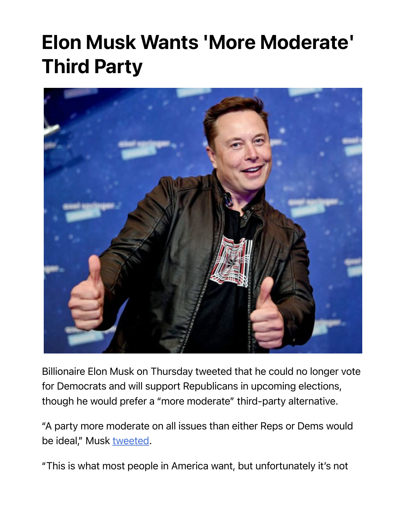## Elon Musk Wants 'More Moderate' Third Party



Billionaire Elon Musk on Thursday tweeted that he could no longer vote for Democrats and will support Republicans in upcoming elections, though he would prefer a "more moderate" third-party alternative.

"A party more moderate on all issues than either Reps or Dems would be ideal," Musk tweeted.

"This is what most people in America want, but unfortunately it's not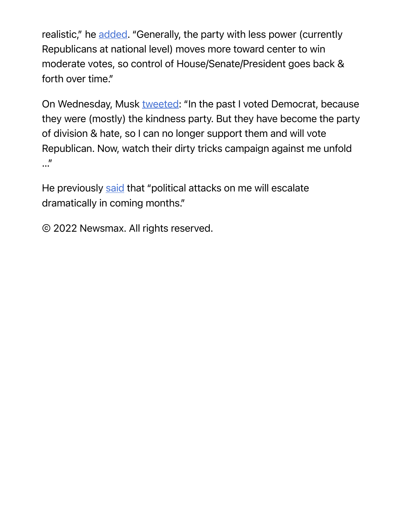realistic," he added. "Generally, the party with less power (currently Republicans at national level) moves more toward center to win moderate votes, so control of House/Senate/President goes back & forth over time."

On Wednesday, Musk tweeted: "In the past I voted Democrat, because they were (mostly) the kindness party. But they have become the party of division & hate, so I can no longer support them and will vote Republican. Now, watch their dirty tricks campaign against me unfold …"

He previously said that "political attacks on me will escalate dramatically in coming months."

© 2022 Newsmax. All rights reserved.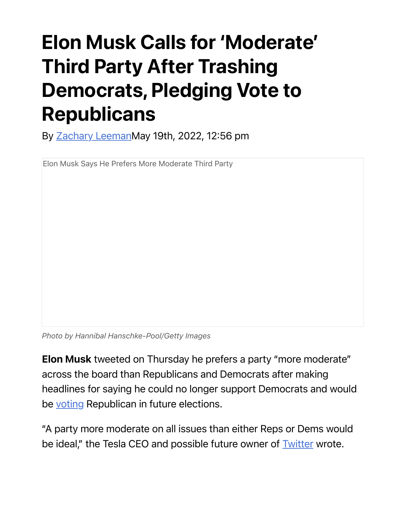## Elon Musk Calls for 'Moderate' Third Party After Trashing Democrats, Pledging Vote to Republicans

By Zachary LeemanMay 19th, 2022, 12:56 pm

Elon Musk Says He Prefers More Moderate Third Party

*Photo by Hannibal Hanschke-Pool/Getty Images*

Elon Musk tweeted on Thursday he prefers a party "more moderate" across the board than Republicans and Democrats after making headlines for saying he could no longer support Democrats and would be voting Republican in future elections.

"A party more moderate on all issues than either Reps or Dems would be ideal," the Tesla CEO and possible future owner of **Twitter wrote**.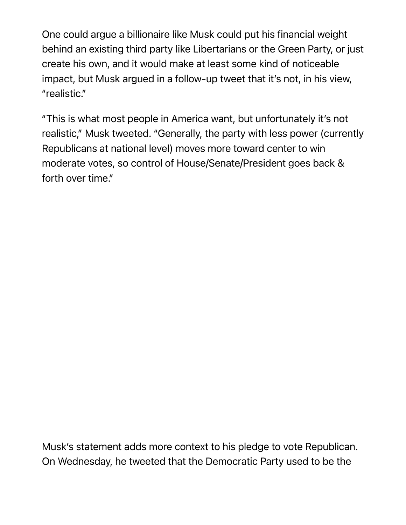One could argue a billionaire like Musk could put his financial weight behind an existing third party like Libertarians or the Green Party, or just create his own, and it would make at least some kind of noticeable impact, but Musk argued in a follow-up tweet that it's not, in his view, "realistic."

"This is what most people in America want, but unfortunately it's not realistic," Musk tweeted. "Generally, the party with less power (currently Republicans at national level) moves more toward center to win moderate votes, so control of House/Senate/President goes back & forth over time."

Musk's statement adds more context to his pledge to vote Republican. On Wednesday, he tweeted that the Democratic Party used to be the